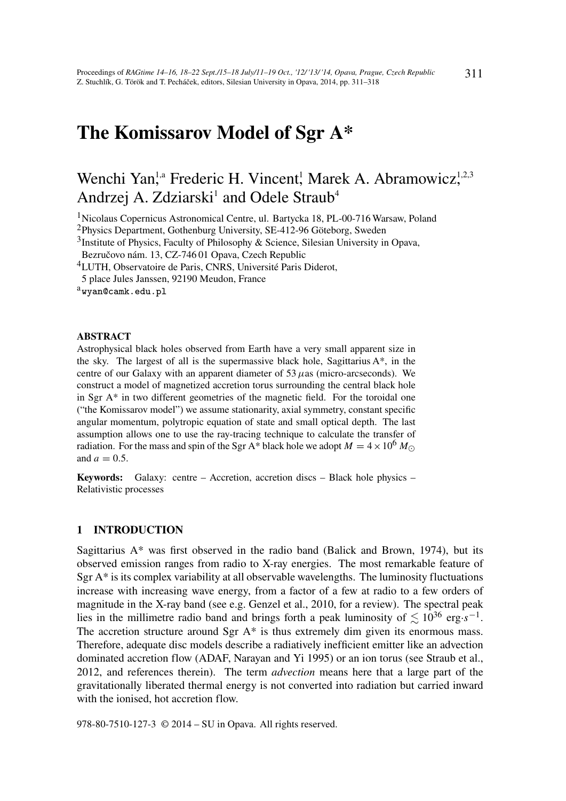# The Komissarov Model of Sgr A\*

# Wenchi Yan,<sup>1,a</sup> Frederic H. Vincent, Marek A. Abramowicz,<sup>1,2,3</sup> Andrzej A. Zdziarski<sup>1</sup> and Odele Straub<sup>4</sup>

<sup>1</sup>Nicolaus Copernicus Astronomical Centre, ul. Bartycka 18, PL-00-716 Warsaw, Poland

<sup>2</sup>Physics Department, Gothenburg University, SE-412-96 Göteborg, Sweden

<sup>3</sup>Institute of Physics, Faculty of Philosophy & Science, Silesian University in Opava,

Bezručovo nám. 13, CZ-746 01 Opava, Czech Republic

<sup>4</sup>LUTH, Observatoire de Paris, CNRS, Université Paris Diderot,

5 place Jules Janssen, 92190 Meudon, France

#### ABSTRACT

Astrophysical black holes observed from Earth have a very small apparent size in the sky. The largest of all is the supermassive black hole, Sagittarius A\*, in the centre of our Galaxy with an apparent diameter of 53  $\mu$ as (micro-arcseconds). We construct a model of magnetized accretion torus surrounding the central black hole in Sgr A\* in two different geometries of the magnetic field. For the toroidal one ("the Komissarov model") we assume stationarity, axial symmetry, constant specific angular momentum, polytropic equation of state and small optical depth. The last assumption allows one to use the ray-tracing technique to calculate the transfer of radiation. For the mass and spin of the Sgr A\* black hole we adopt  $M = 4 \times 10^6 M_{\odot}$ and  $a = 0.5$ .

Keywords: Galaxy: centre – Accretion, accretion discs – Black hole physics – Relativistic processes

## 1 INTRODUCTION

Sagittarius A\* was first observed in the radio band (Balick and Brown, 1974), but its observed emission ranges from radio to X-ray energies. The most remarkable feature of Sgr  $A^*$  is its complex variability at all observable wavelengths. The luminosity fluctuations increase with increasing wave energy, from a factor of a few at radio to a few orders of magnitude in the X-ray band (see e.g. Genzel et al., 2010, for a review). The spectral peak lies in the millimetre radio band and brings forth a peak luminosity of  $\lesssim 10^{36}$  erg·*s*<sup>-1</sup>. The accretion structure around Sgr A\* is thus extremely dim given its enormous mass. Therefore, adequate disc models describe a radiatively inefficient emitter like an advection dominated accretion flow (ADAF, Narayan and Yi 1995) or an ion torus (see Straub et al., 2012, and references therein). The term *advection* means here that a large part of the gravitationally liberated thermal energy is not converted into radiation but carried inward with the ionised, hot accretion flow.

978-80-7510-127-3 © 2014 – SU in Opava. All rights reserved.

 $a$ wyan@camk.edu.pl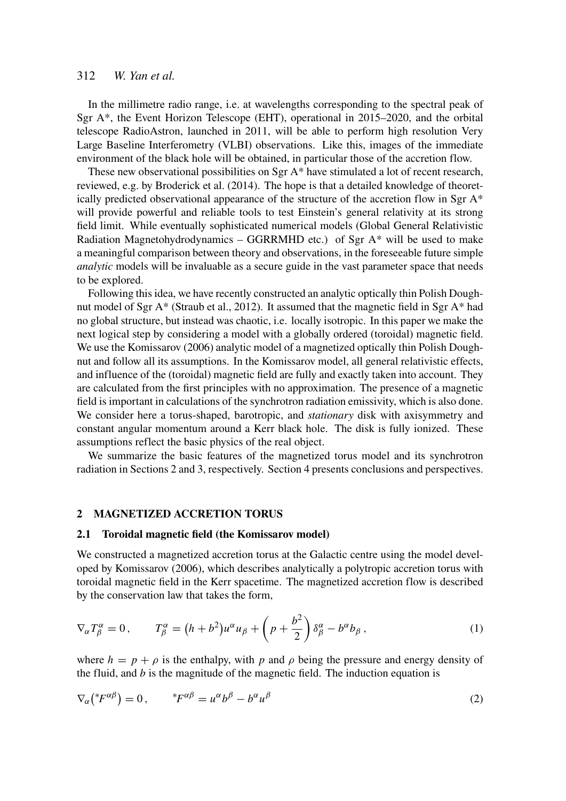# 312 *W. Yan et al.*

In the millimetre radio range, i.e. at wavelengths corresponding to the spectral peak of Sgr A\*, the Event Horizon Telescope (EHT), operational in 2015–2020, and the orbital telescope RadioAstron, launched in 2011, will be able to perform high resolution Very Large Baseline Interferometry (VLBI) observations. Like this, images of the immediate environment of the black hole will be obtained, in particular those of the accretion flow.

These new observational possibilities on Sgr  $A^*$  have stimulated a lot of recent research, reviewed, e.g. by Broderick et al. (2014). The hope is that a detailed knowledge of theoretically predicted observational appearance of the structure of the accretion flow in Sgr  $A^*$ will provide powerful and reliable tools to test Einstein's general relativity at its strong field limit. While eventually sophisticated numerical models (Global General Relativistic Radiation Magnetohydrodynamics – GGRRMHD etc.) of Sgr  $A^*$  will be used to make a meaningful comparison between theory and observations, in the foreseeable future simple *analytic* models will be invaluable as a secure guide in the vast parameter space that needs to be explored.

Following this idea, we have recently constructed an analytic optically thin Polish Doughnut model of Sgr A\* (Straub et al., 2012). It assumed that the magnetic field in Sgr A\* had no global structure, but instead was chaotic, i.e. locally isotropic. In this paper we make the next logical step by considering a model with a globally ordered (toroidal) magnetic field. We use the Komissarov (2006) analytic model of a magnetized optically thin Polish Doughnut and follow all its assumptions. In the Komissarov model, all general relativistic effects, and influence of the (toroidal) magnetic field are fully and exactly taken into account. They are calculated from the first principles with no approximation. The presence of a magnetic field is important in calculations of the synchrotron radiation emissivity, which is also done. We consider here a torus-shaped, barotropic, and *stationary* disk with axisymmetry and constant angular momentum around a Kerr black hole. The disk is fully ionized. These assumptions reflect the basic physics of the real object.

We summarize the basic features of the magnetized torus model and its synchrotron radiation in Sections 2 and 3, respectively. Section 4 presents conclusions and perspectives.

# 2 MAGNETIZED ACCRETION TORUS

## 2.1 Toroidal magnetic field (the Komissarov model)

We constructed a magnetized accretion torus at the Galactic centre using the model developed by Komissarov (2006), which describes analytically a polytropic accretion torus with toroidal magnetic field in the Kerr spacetime. The magnetized accretion flow is described by the conservation law that takes the form,

$$
\nabla_{\alpha} T^{\alpha}_{\beta} = 0, \qquad T^{\alpha}_{\beta} = (h + b^2) u^{\alpha} u_{\beta} + \left( p + \frac{b^2}{2} \right) \delta^{\alpha}_{\beta} - b^{\alpha} b_{\beta} , \qquad (1)
$$

where  $h = p + \rho$  is the enthalpy, with p and  $\rho$  being the pressure and energy density of the fluid, and *b* is the magnitude of the magnetic field. The induction equation is

$$
\nabla_{\alpha}({}^*F^{\alpha\beta}) = 0, \qquad {}^*F^{\alpha\beta} = u^{\alpha}b^{\beta} - b^{\alpha}u^{\beta} \tag{2}
$$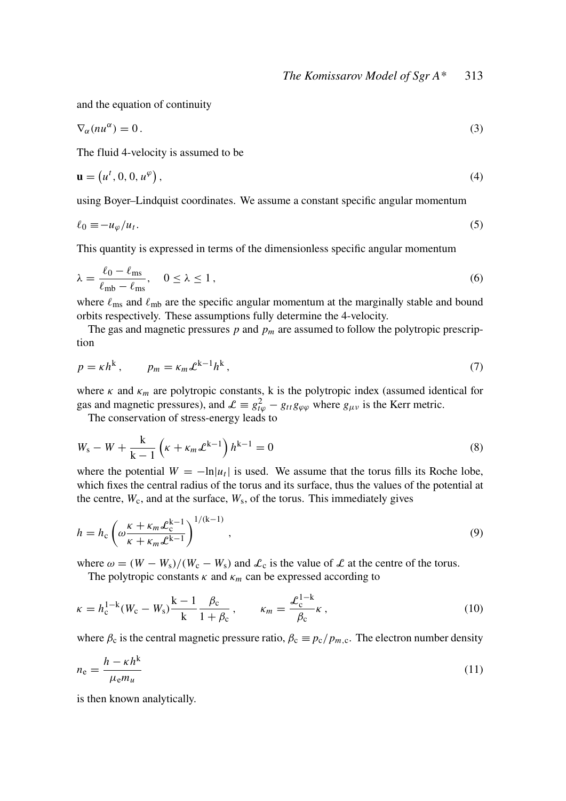and the equation of continuity

$$
\nabla_{\alpha}(nu^{\alpha}) = 0. \tag{3}
$$

The fluid 4-velocity is assumed to be

$$
\mathbf{u} = \left(u^t, 0, 0, u^\varphi\right),\tag{4}
$$

using Boyer–Lindquist coordinates. We assume a constant specific angular momentum

$$
\ell_0 \equiv -u_\varphi/u_t. \tag{5}
$$

This quantity is expressed in terms of the dimensionless specific angular momentum

$$
\lambda = \frac{\ell_0 - \ell_{\rm ms}}{\ell_{\rm mb} - \ell_{\rm ms}}, \quad 0 \le \lambda \le 1,
$$
\n(6)

where  $\ell_{\rm ms}$  and  $\ell_{\rm mb}$  are the specific angular momentum at the marginally stable and bound orbits respectively. These assumptions fully determine the 4-velocity.

The gas and magnetic pressures  $p$  and  $p_m$  are assumed to follow the polytropic prescription

$$
p = \kappa h^k, \qquad p_m = \kappa_m \mathcal{L}^{k-1} h^k, \tag{7}
$$

where  $\kappa$  and  $\kappa_m$  are polytropic constants, k is the polytropic index (assumed identical for gas and magnetic pressures), and  $\mathcal{L} \equiv g_{t\varphi}^2 - g_{tt}g_{\varphi\varphi}$  where  $g_{\mu\nu}$  is the Kerr metric.

The conservation of stress-energy leads to

$$
W_{s} - W + \frac{k}{k-1} \left( \kappa + \kappa_{m} \mathcal{L}^{k-1} \right) h^{k-1} = 0
$$
\n(8)

where the potential  $W = -\ln|u_t|$  is used. We assume that the torus fills its Roche lobe, which fixes the central radius of the torus and its surface, thus the values of the potential at the centre,  $W_c$ , and at the surface,  $W_s$ , of the torus. This immediately gives

$$
h = h_{\rm c} \left( \omega \frac{\kappa + \kappa_m \mathcal{L}_{\rm c}^{k-1}}{\kappa + \kappa_m \mathcal{L}^{k-1}} \right)^{1/(k-1)}, \qquad (9)
$$

where  $\omega = (W - W_s)/(W_c - W_s)$  and  $\mathcal{L}_c$  is the value of  $\mathcal{L}$  at the centre of the torus.

The polytropic constants  $\kappa$  and  $\kappa_m$  can be expressed according to

$$
\kappa = h_{\rm c}^{1-k} (W_{\rm c} - W_{\rm s}) \frac{k-1}{k} \frac{\beta_{\rm c}}{1+\beta_{\rm c}}, \qquad \kappa_m = \frac{\mathcal{L}_{\rm c}^{1-k}}{\beta_{\rm c}} \kappa , \qquad (10)
$$

where  $\beta_c$  is the central magnetic pressure ratio,  $\beta_c \equiv p_c/p_{m.c}$ . The electron number density

$$
n_{\rm e} = \frac{h - \kappa h^{\rm k}}{\mu_{\rm e} m_u} \tag{11}
$$

is then known analytically.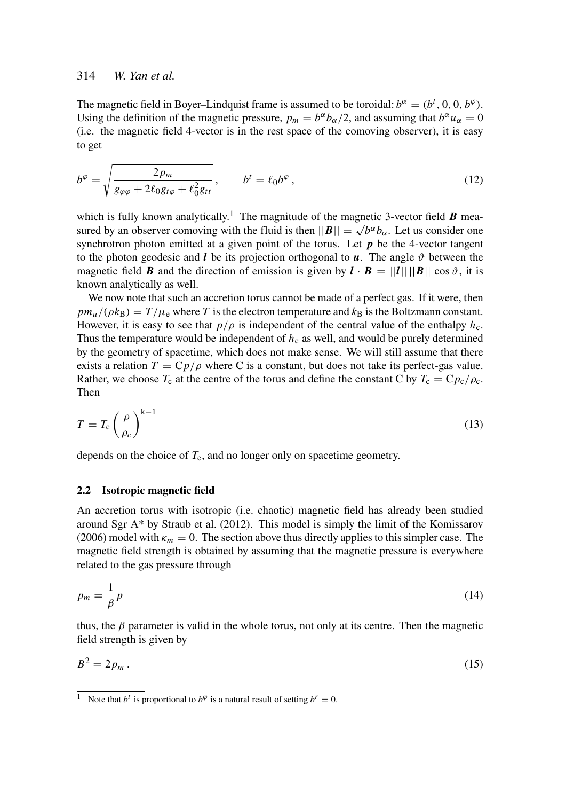# 314 *W. Yan et al.*

The magnetic field in Boyer–Lindquist frame is assumed to be toroidal:  $b^{\alpha} = (b^t, 0, 0, b^{\varphi})$ . Using the definition of the magnetic pressure,  $p_m = b^{\alpha} b_{\alpha}/2$ , and assuming that  $b^{\alpha} u_{\alpha} = 0$ (i.e. the magnetic field 4-vector is in the rest space of the comoving observer), it is easy to get

$$
b^{\varphi} = \sqrt{\frac{2p_m}{g_{\varphi\varphi} + 2\ell_0 g_{t\varphi} + \ell_0^2 g_{tt}}}, \qquad b^t = \ell_0 b^{\varphi} \,, \tag{12}
$$

which is fully known analytically.<sup>1</sup> The magnitude of the magnetic 3-vector field  $\bm{B}$  meawhich is fully known analytically. The magnitude of the magnetic 3-vector field *b* measured by an observer comoving with the fluid is then  $||B|| = \sqrt{b^{\alpha}b_{\alpha}}$ . Let us consider one synchrotron photon emitted at a given point of the torus. Let  $p$  be the 4-vector tangent to the photon geodesic and *l* be its projection orthogonal to  $u$ . The angle  $\vartheta$  between the magnetic field *B* and the direction of emission is given by  $\mathbf{l} \cdot \mathbf{B} = ||\mathbf{l}|| \, ||\mathbf{B}|| \, \cos \vartheta$ , it is known analytically as well.

We now note that such an accretion torus cannot be made of a perfect gas. If it were, then  $pmu/(\rho k_B) = T/\mu_e$  where *T* is the electron temperature and  $k_B$  is the Boltzmann constant. However, it is easy to see that  $p/\rho$  is independent of the central value of the enthalpy  $h_c$ . Thus the temperature would be independent of  $h<sub>c</sub>$  as well, and would be purely determined by the geometry of spacetime, which does not make sense. We will still assume that there exists a relation  $T = Cp/\rho$  where C is a constant, but does not take its perfect-gas value. Rather, we choose  $T_c$  at the centre of the torus and define the constant C by  $T_c = C p_c / \rho_c$ . Then

$$
T = T_{\rm c} \left(\frac{\rho}{\rho_c}\right)^{k-1} \tag{13}
$$

depends on the choice of  $T_c$ , and no longer only on spacetime geometry.

#### 2.2 Isotropic magnetic field

An accretion torus with isotropic (i.e. chaotic) magnetic field has already been studied around Sgr  $A^*$  by Straub et al. (2012). This model is simply the limit of the Komissarov (2006) model with  $\kappa_m = 0$ . The section above thus directly applies to this simpler case. The magnetic field strength is obtained by assuming that the magnetic pressure is everywhere related to the gas pressure through

$$
p_m = \frac{1}{\beta}p\tag{14}
$$

thus, the  $\beta$  parameter is valid in the whole torus, not only at its centre. Then the magnetic field strength is given by

$$
B^2 = 2p_m \tag{15}
$$

<sup>&</sup>lt;sup>1</sup> Note that *b*<sup>*t*</sup> is proportional to *b*<sup> $\varphi$ </sup> is a natural result of setting *b*<sup>*r*</sup> = 0.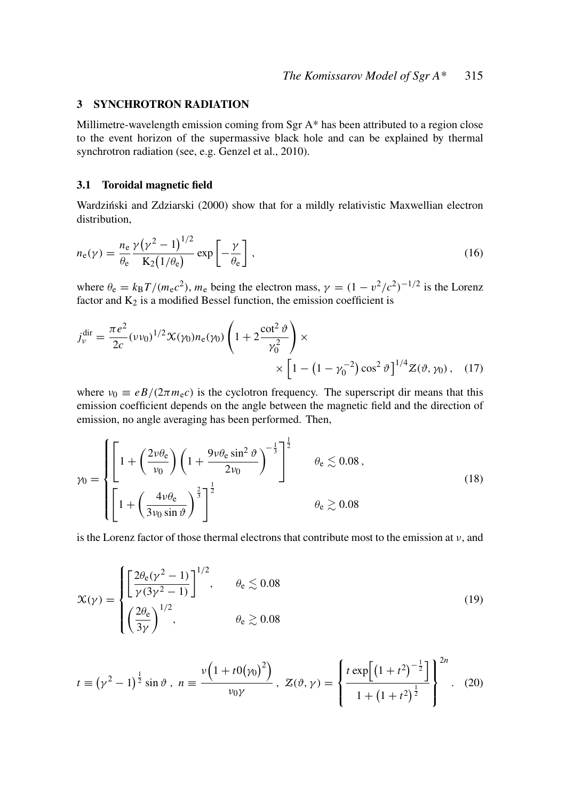## 3 SYNCHROTRON RADIATION

Millimetre-wavelength emission coming from Sgr A\* has been attributed to a region close to the event horizon of the supermassive black hole and can be explained by thermal synchrotron radiation (see, e.g. Genzel et al., 2010).

## 3.1 Toroidal magnetic field

Wardziński and Zdziarski (2000) show that for a mildly relativistic Maxwellian electron distribution,

$$
n_{e}(\gamma) = \frac{n_{e}}{\theta_{e}} \frac{\gamma (\gamma^{2} - 1)^{1/2}}{K_{2}(1/\theta_{e})} \exp\left[-\frac{\gamma}{\theta_{e}}\right],
$$
\n(16)

where  $\theta_e = k_B T / (m_e c^2)$ ,  $m_e$  being the electron mass,  $\gamma = (1 - v^2/c^2)^{-1/2}$  is the Lorenz factor and  $K_2$  is a modified Bessel function, the emission coefficient is

$$
j_v^{\text{dir}} = \frac{\pi e^2}{2c} (\nu v_0)^{1/2} \mathcal{K}(\gamma_0) n_e(\gamma_0) \left( 1 + 2 \frac{\cot^2 \vartheta}{\gamma_0^2} \right) \times \left[ 1 - \left( 1 - \gamma_0^{-2} \right) \cos^2 \vartheta \right]^{1/4} Z(\vartheta, \gamma_0), \quad (17)
$$

where  $v_0 \equiv eB/(2\pi m_e c)$  is the cyclotron frequency. The superscript dir means that this emission coefficient depends on the angle between the magnetic field and the direction of emission, no angle averaging has been performed. Then,

$$
\gamma_0 = \begin{cases} \left[ 1 + \left( \frac{2\upsilon \theta_e}{\upsilon_0} \right) \left( 1 + \frac{9\upsilon \theta_e \sin^2 \vartheta}{2\upsilon_0} \right)^{-\frac{1}{3}} \right]^{\frac{1}{2}} & \theta_e \lesssim 0.08 \,, \\ \left[ 1 + \left( \frac{4\upsilon \theta_e}{3\upsilon_0 \sin \vartheta} \right)^{\frac{2}{3}} \right]^{\frac{1}{2}} & \theta_e \gtrsim 0.08 \end{cases} \tag{18}
$$

is the Lorenz factor of those thermal electrons that contribute most to the emission at  $\nu$ , and

$$
\mathcal{X}(\gamma) = \begin{cases} \left[\frac{2\theta_e(\gamma^2 - 1)}{\gamma(3\gamma^2 - 1)}\right]^{1/2}, & \theta_e \lesssim 0.08\\ \left(\frac{2\theta_e}{3\gamma}\right)^{1/2}, & \theta_e \gtrsim 0.08 \end{cases}
$$
(19)

$$
t \equiv (\gamma^2 - 1)^{\frac{1}{2}} \sin \vartheta , \; n \equiv \frac{\nu \left( 1 + t \, 0 (\gamma_0)^2 \right)}{\nu_0 \gamma} , \; Z(\vartheta, \gamma) = \left\{ \frac{t \, \exp \left[ \left( 1 + t^2 \right)^{-\frac{1}{2}} \right]}{1 + \left( 1 + t^2 \right)^{\frac{1}{2}}} \right\}^{2n} . \tag{20}
$$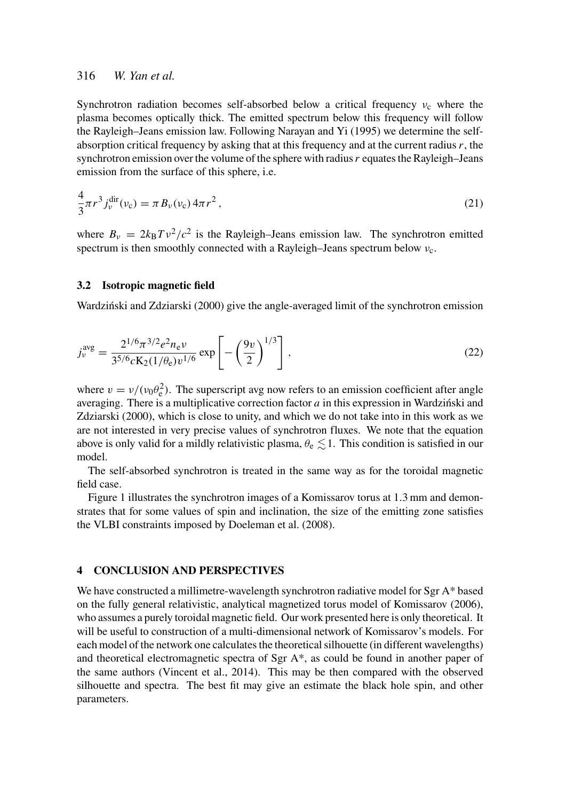# 316 *W. Yan et al.*

Synchrotron radiation becomes self-absorbed below a critical frequency  $v_c$  where the plasma becomes optically thick. The emitted spectrum below this frequency will follow the Rayleigh–Jeans emission law. Following Narayan and Yi (1995) we determine the selfabsorption critical frequency by asking that at this frequency and at the current radius*r*, the synchrotron emission over the volume of the sphere with radius*r* equates the Rayleigh–Jeans emission from the surface of this sphere, i.e.

$$
\frac{4}{3}\pi r^3 j_v^{\text{dir}}(v_{\text{c}}) = \pi B_v(v_{\text{c}}) 4\pi r^2, \qquad (21)
$$

where  $B_v = 2k_B T v^2/c^2$  is the Rayleigh–Jeans emission law. The synchrotron emitted spectrum is then smoothly connected with a Rayleigh–Jeans spectrum below  $v_c$ .

## 3.2 Isotropic magnetic field

Wardziński and Zdziarski (2000) give the angle-averaged limit of the synchrotron emission

$$
j_v^{\text{avg}} = \frac{2^{1/6} \pi^{3/2} e^2 n_e v}{3^{5/6} c K_2 (1/\theta_e) v^{1/6}} \exp\left[-\left(\frac{9v}{2}\right)^{1/3}\right],\tag{22}
$$

where  $v = v/(v_0 \theta_e^2)$ . The superscript avg now refers to an emission coefficient after angle averaging. There is a multiplicative correction factor *a* in this expression in Wardzinski and Zdziarski (2000), which is close to unity, and which we do not take into in this work as we are not interested in very precise values of synchrotron fluxes. We note that the equation above is only valid for a mildly relativistic plasma,  $\theta_e \lesssim 1$ . This condition is satisfied in our model.

The self-absorbed synchrotron is treated in the same way as for the toroidal magnetic field case.

Figure 1 illustrates the synchrotron images of a Komissarov torus at 1.3 mm and demonstrates that for some values of spin and inclination, the size of the emitting zone satisfies the VLBI constraints imposed by Doeleman et al. (2008).

### 4 CONCLUSION AND PERSPECTIVES

We have constructed a millimetre-wavelength synchrotron radiative model for Sgr A\* based on the fully general relativistic, analytical magnetized torus model of Komissarov (2006), who assumes a purely toroidal magnetic field. Our work presented here is only theoretical. It will be useful to construction of a multi-dimensional network of Komissarov's models. For each model of the network one calculates the theoretical silhouette (in different wavelengths) and theoretical electromagnetic spectra of Sgr  $A^*$ , as could be found in another paper of the same authors (Vincent et al., 2014). This may be then compared with the observed silhouette and spectra. The best fit may give an estimate the black hole spin, and other parameters.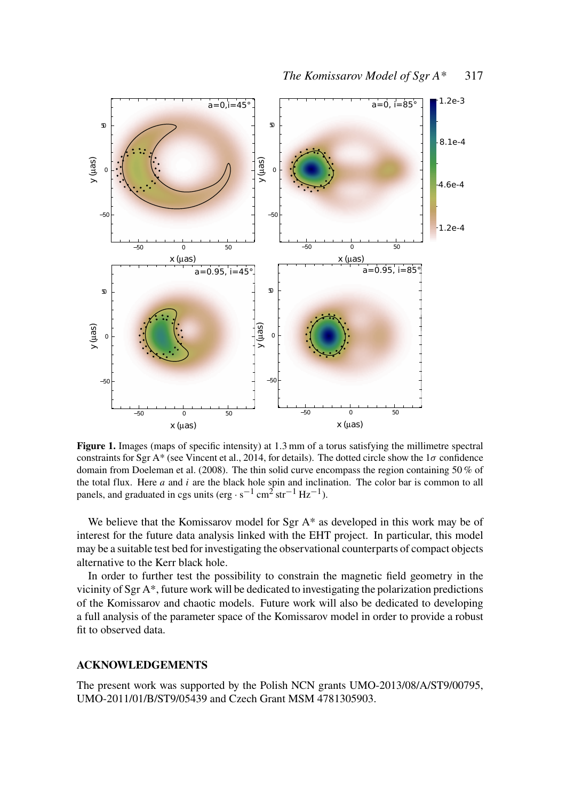

Figure 1. Images (maps of specific intensity) at 1.3 mm of a torus satisfying the millimetre spectral constraints for Sgr A\* (see Vincent et al., 2014, for details). The dotted circle show the  $1\sigma$  confidence domain from Doeleman et al. (2008). The thin solid curve encompass the region containing 50 % of the total flux. Here *a* and *i* are the black hole spin and inclination. The color bar is common to all panels, and graduated in cgs units (erg  $\cdot$  s<sup>-1</sup> cm<sup>2</sup> str<sup>-1</sup> Hz<sup>-1</sup>).

We believe that the Komissarov model for Sgr  $A^*$  as developed in this work may be of interest for the future data analysis linked with the EHT project. In particular, this model may be a suitable test bed for investigating the observational counterparts of compact objects alternative to the Kerr black hole.

In order to further test the possibility to constrain the magnetic field geometry in the vicinity of Sgr A\*, future work will be dedicated to investigating the polarization predictions of the Komissarov and chaotic models. Future work will also be dedicated to developing a full analysis of the parameter space of the Komissarov model in order to provide a robust fit to observed data.

### ACKNOWLEDGEMENTS

The present work was supported by the Polish NCN grants UMO-2013/08/A/ST9/00795, UMO-2011/01/B/ST9/05439 and Czech Grant MSM 4781305903.